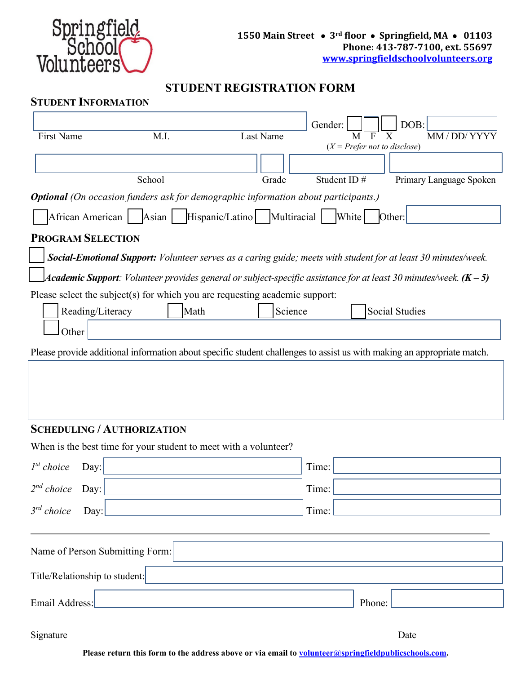

# **STUDENT REGISTRATION FORM**

#### **STUDENT INFORMATION**

| <b>First Name</b>                                                            |                                                                                           |                  | Gender:                        | DOB:                                                                                                                   |  |  |  |
|------------------------------------------------------------------------------|-------------------------------------------------------------------------------------------|------------------|--------------------------------|------------------------------------------------------------------------------------------------------------------------|--|--|--|
|                                                                              | M.I.                                                                                      | <b>Last Name</b> | $(X = Prefer not to disclose)$ | MM / DD/ YYYY                                                                                                          |  |  |  |
|                                                                              |                                                                                           |                  |                                |                                                                                                                        |  |  |  |
|                                                                              | School                                                                                    | Grade            | Student ID#                    | Primary Language Spoken                                                                                                |  |  |  |
|                                                                              | <b>Optional</b> (On occasion funders ask for demographic information about participants.) |                  |                                |                                                                                                                        |  |  |  |
| Hispanic/Latino Multiracial<br>African American   Asian  <br>White<br>Other: |                                                                                           |                  |                                |                                                                                                                        |  |  |  |
| <b>PROGRAM SELECTION</b>                                                     |                                                                                           |                  |                                |                                                                                                                        |  |  |  |
|                                                                              |                                                                                           |                  |                                | Social-Emotional Support: Volunteer serves as a caring guide; meets with student for at least 30 minutes/week.         |  |  |  |
|                                                                              |                                                                                           |                  |                                | Academic Support: Volunteer provides general or subject-specific assistance for at least 30 minutes/week. $(K - 5)$    |  |  |  |
|                                                                              | Please select the subject(s) for which you are requesting academic support:               |                  |                                |                                                                                                                        |  |  |  |
| Reading/Literacy                                                             | Math                                                                                      | Science          |                                | <b>Social Studies</b>                                                                                                  |  |  |  |
| Other                                                                        |                                                                                           |                  |                                |                                                                                                                        |  |  |  |
|                                                                              |                                                                                           |                  |                                | Please provide additional information about specific student challenges to assist us with making an appropriate match. |  |  |  |
|                                                                              |                                                                                           |                  |                                |                                                                                                                        |  |  |  |
|                                                                              |                                                                                           |                  |                                |                                                                                                                        |  |  |  |
|                                                                              |                                                                                           |                  |                                |                                                                                                                        |  |  |  |
| <b>SCHEDULING / AUTHORIZATION</b>                                            |                                                                                           |                  |                                |                                                                                                                        |  |  |  |
|                                                                              | When is the best time for your student to meet with a volunteer?                          |                  |                                |                                                                                                                        |  |  |  |
| $I^{st}$ choice<br>Day:                                                      |                                                                                           |                  | Time:                          |                                                                                                                        |  |  |  |
| 2 <sup>nd</sup> choice<br>Day:                                               |                                                                                           |                  | Time:                          |                                                                                                                        |  |  |  |
| $3^{rd}$ choice<br>Day:                                                      |                                                                                           |                  | Time:                          |                                                                                                                        |  |  |  |
|                                                                              |                                                                                           |                  |                                |                                                                                                                        |  |  |  |
| Name of Person Submitting Form:                                              |                                                                                           |                  |                                |                                                                                                                        |  |  |  |
| Title/Relationship to student:                                               |                                                                                           |                  |                                |                                                                                                                        |  |  |  |
|                                                                              |                                                                                           |                  |                                |                                                                                                                        |  |  |  |
| Email Address:                                                               |                                                                                           |                  | Phone:                         |                                                                                                                        |  |  |  |

Signature Date

Please return this form to the address above or via email to **volunteer@springfieldpublicschools.com**.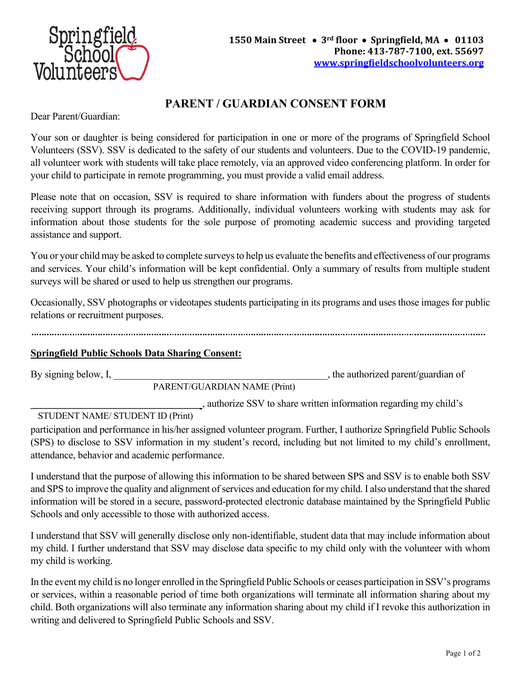

## **PARENT / GUARDIAN CONSENT FORM**

Dear Parent/Guardian:

Your son or daughter is being considered for participation in one or more of the programs of Springfield School Volunteers (SSV). SSV is dedicated to the safety of our students and volunteers. Due to the COVID-19 pandemic, all volunteer work with students will take place remotely, via an approved video conferencing platform. In order for your child to participate in remote programming, you must provide a valid email address.

Please note that on occasion, SSV is required to share information with funders about the progress of students receiving support through its programs. Additionally, individual volunteers working with students may ask for information about those students for the sole purpose of promoting academic success and providing targeted assistance and support.

You or your child may be asked to complete surveys to help us evaluate the benefits and effectiveness of our programs and services. Your child's information will be kept confidential. Only a summary of results from multiple student surveys will be shared or used to help us strengthen our programs.

Occasionally, SSV photographs or videotapes students participating in its programs and uses those images for public relations or recruitment purposes.

#### **Springfield Public Schools Data Sharing Consent:**

By signing below, I, the authorized parent/guardian of

PARENT/GUARDIAN NAME (Print)

**\_\_\_\_\_\_\_\_\_\_\_\_\_\_\_\_\_\_\_\_\_\_\_\_\_\_\_\_\_\_\_\_\_\_** , authorize SSV to share written information regarding my child's

STUDENT NAME/ STUDENT ID (Print)

participation and performance in his/her assigned volunteer program. Further, I authorize Springfield Public Schools (SPS) to disclose to SSV information in my student's record, including but not limited to my child's enrollment, attendance, behavior and academic performance.

I understand that the purpose of allowing this information to be shared between SPS and SSV is to enable both SSV and SPS to improve the quality and alignment of services and education for my child. I also understand that the shared information will be stored in a secure, password-protected electronic database maintained by the Springfield Public Schools and only accessible to those with authorized access.

I understand that SSV will generally disclose only non-identifiable, student data that may include information about my child. I further understand that SSV may disclose data specific to my child only with the volunteer with whom my child is working.

In the event my child is no longer enrolled in the Springfield Public Schools or ceases participation in SSV's programs or services, within a reasonable period of time both organizations will terminate all information sharing about my child. Both organizations will also terminate any information sharing about my child if I revoke this authorization in writing and delivered to Springfield Public Schools and SSV.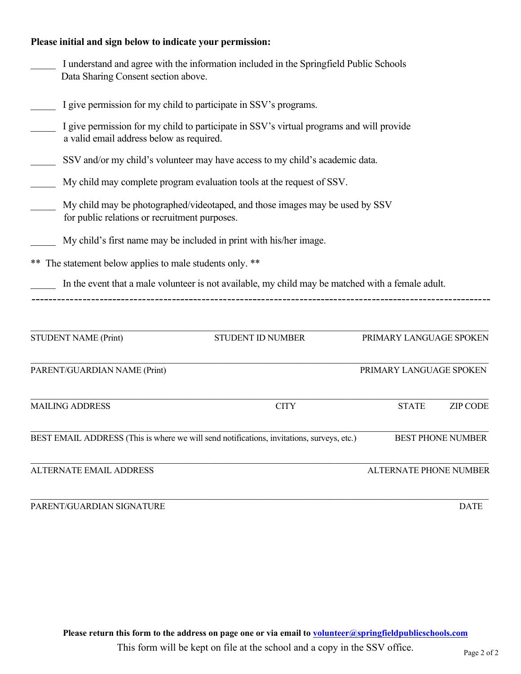#### **Please initial and sign below to indicate your permission:**

| Data Sharing Consent section above.                         | I understand and agree with the information included in the Springfield Public Schools                                               |                         |                          |  |  |  |  |  |
|-------------------------------------------------------------|--------------------------------------------------------------------------------------------------------------------------------------|-------------------------|--------------------------|--|--|--|--|--|
|                                                             | I give permission for my child to participate in SSV's programs.                                                                     |                         |                          |  |  |  |  |  |
|                                                             | I give permission for my child to participate in SSV's virtual programs and will provide<br>a valid email address below as required. |                         |                          |  |  |  |  |  |
|                                                             | SSV and/or my child's volunteer may have access to my child's academic data.                                                         |                         |                          |  |  |  |  |  |
|                                                             | My child may complete program evaluation tools at the request of SSV.                                                                |                         |                          |  |  |  |  |  |
| for public relations or recruitment purposes.               | My child may be photographed/videotaped, and those images may be used by SSV                                                         |                         |                          |  |  |  |  |  |
|                                                             | My child's first name may be included in print with his/her image.                                                                   |                         |                          |  |  |  |  |  |
| The statement below applies to male students only. **<br>** |                                                                                                                                      |                         |                          |  |  |  |  |  |
|                                                             | In the event that a male volunteer is not available, my child may be matched with a female adult.                                    |                         |                          |  |  |  |  |  |
|                                                             |                                                                                                                                      |                         |                          |  |  |  |  |  |
| <b>STUDENT NAME (Print)</b>                                 | STUDENT ID NUMBER                                                                                                                    | PRIMARY LANGUAGE SPOKEN |                          |  |  |  |  |  |
| PARENT/GUARDIAN NAME (Print)                                |                                                                                                                                      | PRIMARY LANGUAGE SPOKEN |                          |  |  |  |  |  |
| <b>MAILING ADDRESS</b>                                      | <b>CITY</b>                                                                                                                          | <b>STATE</b>            | <b>ZIP CODE</b>          |  |  |  |  |  |
|                                                             | BEST EMAIL ADDRESS (This is where we will send notifications, invitations, surveys, etc.)                                            |                         | <b>BEST PHONE NUMBER</b> |  |  |  |  |  |
| <b>ALTERNATE EMAIL ADDRESS</b>                              |                                                                                                                                      | ALTERNATE PHONE NUMBER  |                          |  |  |  |  |  |
| PARENT/GUARDIAN SIGNATURE                                   |                                                                                                                                      |                         | <b>DATE</b>              |  |  |  |  |  |

This form will be kept on file at the school and a copy in the SSV office.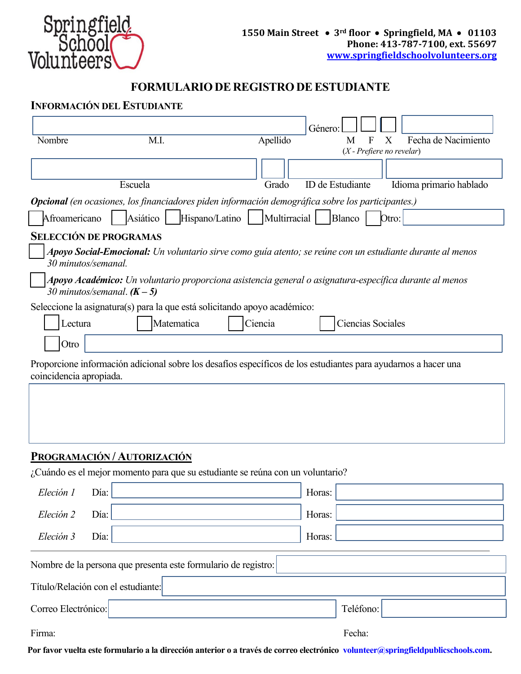

### **FORMULARIODE REGISTRODEESTUDIANTE**

#### **INFORMACIÓN DEL ESTUDIANTE**

|                         |                                    |                                                                                                                |              | Género: |                                  |                          |
|-------------------------|------------------------------------|----------------------------------------------------------------------------------------------------------------|--------------|---------|----------------------------------|--------------------------|
| Nombre                  |                                    | M.I.                                                                                                           | Apellido     |         | М<br>$(X$ - Prefiere no revelar) | Fecha de Nacimiento<br>X |
|                         |                                    |                                                                                                                |              |         |                                  |                          |
|                         | Escuela                            |                                                                                                                | Grado        |         | ID de Estudiante                 | Idioma primario hablado  |
|                         |                                    | <b>Opcional</b> (en ocasiones, los financiadores piden información demográfica sobre los participantes.)       |              |         |                                  |                          |
| Afroamericano           | Asiático                           | Hispano/Latino                                                                                                 | Multirracial |         | Blanco                           | Otro:                    |
|                         | <b>SELECCIÓN DE PROGRAMAS</b>      |                                                                                                                |              |         |                                  |                          |
|                         | 30 minutos/semanal.                | Apoyo Social-Emocional: Un voluntario sirve como guía atento; se reúne con un estudiante durante al menos      |              |         |                                  |                          |
|                         | 30 minutos/semanal. $(K-5)$        | Apoyo Académico: Un voluntario proporciona asistencia general o asignatura-específica durante al menos         |              |         |                                  |                          |
|                         |                                    | Seleccione la asignatura(s) para la que está solicitando apoyo académico:                                      |              |         |                                  |                          |
| Lectura                 |                                    | Matematica                                                                                                     | Ciencia      |         | Ciencias Sociales                |                          |
| Otro                    |                                    |                                                                                                                |              |         |                                  |                          |
| coincidencia apropiada. |                                    | Proporcione información adícional sobre los desafíos específicos de los estudiantes para ayudarnos a hacer una |              |         |                                  |                          |
|                         |                                    |                                                                                                                |              |         |                                  |                          |
|                         |                                    |                                                                                                                |              |         |                                  |                          |
|                         | PROGRAMACIÓN / AUTORIZACIÓN        |                                                                                                                |              |         |                                  |                          |
|                         |                                    | ¿Cuándo es el mejor momento para que su estudiante se reúna con un voluntario?                                 |              |         |                                  |                          |
| Eleción 1               | Día:                               |                                                                                                                |              | Horas:  |                                  |                          |
| Eleción 2               | Día:                               |                                                                                                                |              | Horas:  |                                  |                          |
| Eleción 3               | Día:                               |                                                                                                                |              | Horas:  |                                  |                          |
|                         |                                    | Nombre de la persona que presenta este formulario de registro:                                                 |              |         |                                  |                          |
|                         | Título/Relación con el estudiante: |                                                                                                                |              |         |                                  |                          |

Correo Electrónico: Teléfono: Teléfono:

Firma: Fecha: Fecha: Fecha: Fecha: Fecha: Fecha: Fecha: Fecha: Fecha: Fecha: Fecha: Fecha: Fecha: Fecha: Fecha

**Por favor vuelta este formulario a la dirección anterior o a través de correo electrónico volunteer@springfieldpublicschools.com.**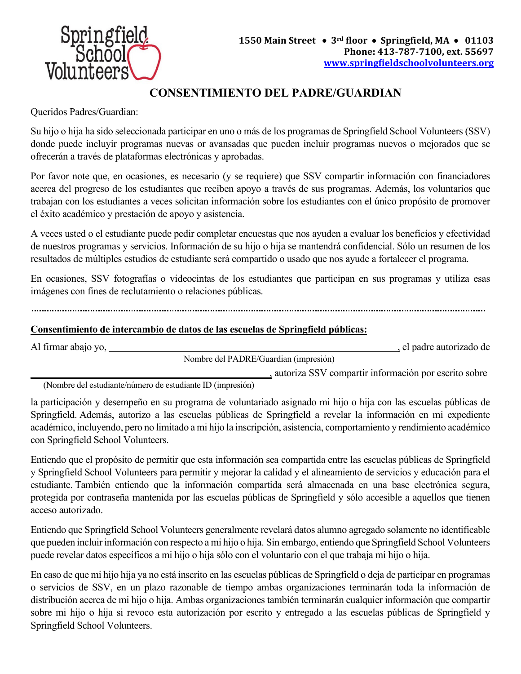

# **CONSENTIMIENTO DEL PADRE/GUARDIAN**

Queridos Padres/Guardian:

Su hijo o hija ha sido seleccionada participar en uno o más de los programas de Springfield School Volunteers (SSV) donde puede incluyir programas nuevas or avansadas que pueden incluir programas nuevos o mejorados que se ofrecerán a través de plataformas electrónicas y aprobadas.

Por favor note que, en ocasiones, es necesario (y se requiere) que SSV compartir información con financiadores acerca del progreso de los estudiantes que reciben apoyo a través de sus programas. Además, los voluntarios que trabajan con los estudiantes a veces solicitan información sobre los estudiantes con el único propósito de promover el éxito académico y prestación de apoyo y asistencia.

A veces usted o el estudiante puede pedir completar encuestas que nos ayuden a evaluar los beneficios y efectividad de nuestros programas y servicios. Información de su hijo o hija se mantendrá confidencial. Sólo un resumen de los resultados de múltiples estudios de estudiante será compartido o usado que nos ayude a fortalecer el programa.

En ocasiones, SSV fotografías o videocintas de los estudiantes que participan en sus programas y utiliza esas imágenes con fines de reclutamiento o relaciones públicas.

#### **Consentimiento de intercambio de datos de las escuelas de Springfield públicas:**

Al firmar abajo yo, **\_\_\_\_\_\_\_\_\_\_\_\_\_\_\_\_\_\_\_\_\_\_\_\_\_\_\_\_\_\_\_\_\_\_\_\_\_\_\_\_\_\_\_\_\_\_\_\_\_\_\_\_\_\_\_\_\_\_**, el padre autorizado de Nombre del PADRE/Guardian (impresión) **\_\_\_\_\_\_\_\_\_\_\_\_\_\_\_\_\_\_\_\_\_\_\_\_\_\_\_\_\_\_\_\_\_\_\_\_\_\_\_\_\_\_\_\_\_\_\_\_**, autoriza SSV compartir información por escrito sobre

(Nombre del estudiante/número de estudiante ID (impresión)

la participación y desempeño en su programa de voluntariado asignado mi hijo o hija con las escuelas públicas de Springfield. Además, autorizo a las escuelas públicas de Springfield a revelar la información en mi expediente académico, incluyendo, pero no limitado a mi hijo la inscripción, asistencia, comportamiento y rendimiento académico con Springfield School Volunteers.

Entiendo que el propósito de permitir que esta información sea compartida entre las escuelas públicas de Springfield y Springfield School Volunteers para permitir y mejorar la calidad y el alineamiento de servicios y educación para el estudiante. También entiendo que la información compartida será almacenada en una base electrónica segura, protegida por contraseña mantenida por las escuelas públicas de Springfield y sólo accesible a aquellos que tienen acceso autorizado.

Entiendo que Springfield School Volunteers generalmente revelará datos alumno agregado solamente no identificable que pueden incluir información con respecto a mi hijo o hija. Sin embargo, entiendo que Springfield School Volunteers puede revelar datos específicos a mi hijo o hija sólo con el voluntario con el que trabaja mi hijo o hija.

En caso de que mi hijo hija ya no está inscrito en las escuelas públicas de Springfield o deja de participar en programas o servicios de SSV, en un plazo razonable de tiempo ambas organizaciones terminarán toda la información de distribución acerca de mi hijo o hija. Ambas organizaciones también terminarán cualquier información que compartir sobre mi hijo o hija si revoco esta autorización por escrito y entregado a las escuelas públicas de Springfield y Springfield School Volunteers.